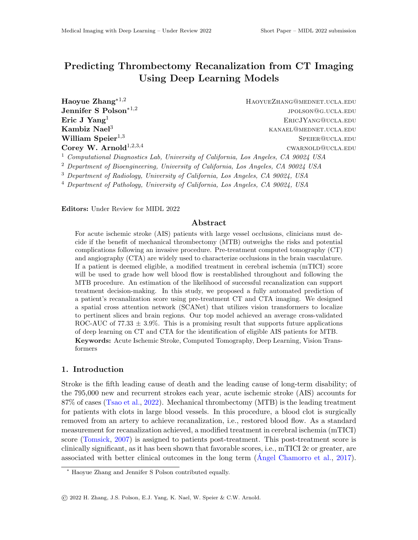# Predicting Thrombectomy Recanalization from CT Imaging Using Deep Learning Models

Jennifer S Polson∗1,<sup>2</sup>

 $\textbf{H}$ aoyue  $\textbf{Zhang}^{*1,2}$  HaoyueZhang@mednet.ucla.edu jpolson@g.ucla.edu **Eric J Yang**<sup>1</sup> ERICJYANG@UCLA.EDU  ${\bf K}$ ambiz  ${\bf N}$ ael $^3$ William Speier<sup>1,3</sup> SPEIER@UCLA.EDU Corey W. Arnold<sup>1,2,3,4</sup> cwarnold cwarnold cwarnold cucla.edu

<sup>1</sup> Computational Diagnostics Lab, University of California, Los Angeles, CA 90024 USA

<sup>2</sup> Department of Bioengineering, University of California, Los Angeles, CA 90024 USA

<sup>3</sup> Department of Radiology, University of California, Los Angeles, CA 90024, USA

<sup>4</sup> Department of Pathology, University of California, Los Angeles, CA 90024, USA

Editors: Under Review for MIDL 2022

# Abstract

For acute ischemic stroke (AIS) patients with large vessel occlusions, clinicians must decide if the benefit of mechanical thrombectomy (MTB) outweighs the risks and potential complications following an invasive procedure. Pre-treatment computed tomography (CT) and angiography (CTA) are widely used to characterize occlusions in the brain vasculature. If a patient is deemed eligible, a modified treatment in cerebral ischemia (mTICI) score will be used to grade how well blood flow is reestablished throughout and following the MTB procedure. An estimation of the likelihood of successful recanalization can support treatment decision-making. In this study, we proposed a fully automated prediction of a patient's recanalization score using pre-treatment CT and CTA imaging. We designed a spatial cross attention network (SCANet) that utilizes vision transformers to localize to pertinent slices and brain regions. Our top model achieved an average cross-validated ROC-AUC of 77.33  $\pm$  3.9%. This is a promising result that supports future applications of deep learning on CT and CTA for the identification of eligible AIS patients for MTB. Keywords: Acute Ischemic Stroke, Computed Tomography, Deep Learning, Vision Transformers

#### 1. Introduction

Stroke is the fifth leading cause of death and the leading cause of long-term disability; of the 795,000 new and recurrent strokes each year, acute ischemic stroke (AIS) accounts for 87% of cases [\(Tsao et al.,](#page-2-0) [2022\)](#page-2-0). Mechanical thrombectomy (MTB) is the leading treatment for patients with clots in large blood vessels. In this procedure, a blood clot is surgically removed from an artery to achieve recanalization, i.e., restored blood flow. As a standard measurement for recanalization achieved, a modified treatment in cerebral ischemia (mTICI) score [\(Tomsick,](#page-2-1) [2007\)](#page-2-1) is assigned to patients post-treatment. This post-treatment score is clinically significant, as it has been shown that favorable scores, i.e., mTICI 2c or greater, are associated with better clinical outcomes in the long term  $(A \nvert A)$  Chamorro et al., [2017\)](#page-2-2).

<sup>∗</sup> Haoyue Zhang and Jennifer S Polson contributed equally.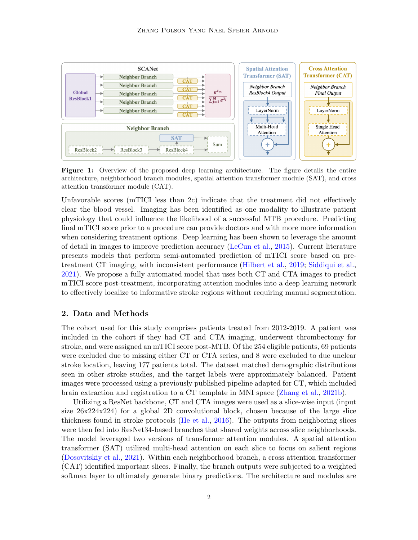<span id="page-1-0"></span>

Figure 1: Overview of the proposed deep learning architecture. The figure details the entire architecture, neighborhood branch modules, spatial attention transformer module (SAT), and cross attention transformer module (CAT).

Unfavorable scores (mTICI less than 2c) indicate that the treatment did not effectively clear the blood vessel. Imaging has been identified as one modality to illustrate patient physiology that could influence the likelihood of a successful MTB procedure. Predicting final mTICI score prior to a procedure can provide doctors and with more more information when considering treatment options. Deep learning has been shown to leverage the amount of detail in images to improve prediction accuracy [\(LeCun et al.,](#page-2-3) [2015\)](#page-2-3). Current literature presents models that perform semi-automated prediction of mTICI score based on pretreatment CT imaging, with inconsistent performance [\(Hilbert et al.,](#page-2-4) [2019;](#page-2-4) [Siddiqui et al.,](#page-2-5) [2021\)](#page-2-5). We propose a fully automated model that uses both CT and CTA images to predict mTICI score post-treatment, incorporating attention modules into a deep learning network to effectively localize to informative stroke regions without requiring manual segmentation.

## 2. Data and Methods

The cohort used for this study comprises patients treated from 2012-2019. A patient was included in the cohort if they had CT and CTA imaging, underwent thrombectomy for stroke, and were assigned an mTICI score post-MTB. Of the 254 eligible patients, 69 patients were excluded due to missing either CT or CTA series, and 8 were excluded to due unclear stroke location, leaving 177 patients total. The dataset matched demographic distributions seen in other stroke studies, and the target labels were approximately balanced. Patient images were processed using a previously published pipeline adapted for CT, which included brain extraction and registration to a CT template in MNI space [\(Zhang et al.,](#page-2-6) [2021b\)](#page-2-6).

Utilizing a ResNet backbone, CT and CTA images were used as a slice-wise input (input size 26x224x224) for a global 2D convolutional block, chosen because of the large slice thickness found in stroke protocols [\(He et al.,](#page-2-7) [2016\)](#page-2-7). The outputs from neighboring slices were then fed into ResNet34-based branches that shared weights across slice neighborhoods. The model leveraged two versions of transformer attention modules. A spatial attention transformer (SAT) utilized multi-head attention on each slice to focus on salient regions [\(Dosovitskiy et al.,](#page-2-8) [2021\)](#page-2-8). Within each neighborhood branch, a cross attention transformer (CAT) identified important slices. Finally, the branch outputs were subjected to a weighted softmax layer to ultimately generate binary predictions. The architecture and modules are